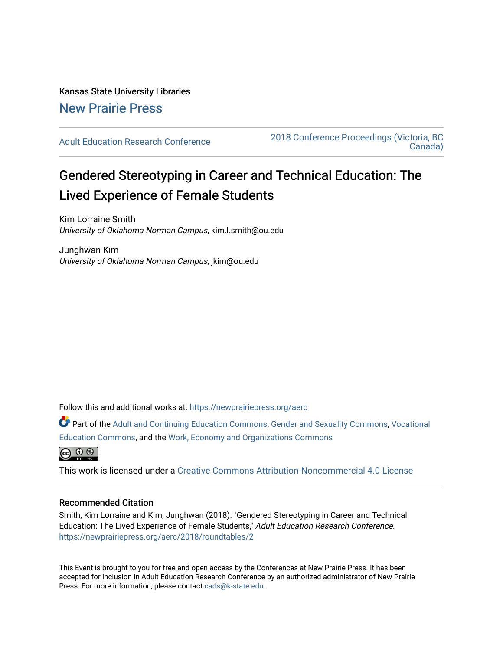### Kansas State University Libraries [New Prairie Press](https://newprairiepress.org/)

[Adult Education Research Conference](https://newprairiepress.org/aerc) [2018 Conference Proceedings \(Victoria, BC](https://newprairiepress.org/aerc/2018)  [Canada\)](https://newprairiepress.org/aerc/2018) 

# Gendered Stereotyping in Career and Technical Education: The Lived Experience of Female Students

Kim Lorraine Smith University of Oklahoma Norman Campus, kim.l.smith@ou.edu

Junghwan Kim University of Oklahoma Norman Campus, jkim@ou.edu

Follow this and additional works at: [https://newprairiepress.org/aerc](https://newprairiepress.org/aerc?utm_source=newprairiepress.org%2Faerc%2F2018%2Froundtables%2F2&utm_medium=PDF&utm_campaign=PDFCoverPages)

Part of the [Adult and Continuing Education Commons,](http://network.bepress.com/hgg/discipline/1375?utm_source=newprairiepress.org%2Faerc%2F2018%2Froundtables%2F2&utm_medium=PDF&utm_campaign=PDFCoverPages) [Gender and Sexuality Commons](http://network.bepress.com/hgg/discipline/420?utm_source=newprairiepress.org%2Faerc%2F2018%2Froundtables%2F2&utm_medium=PDF&utm_campaign=PDFCoverPages), Vocational [Education Commons,](http://network.bepress.com/hgg/discipline/1369?utm_source=newprairiepress.org%2Faerc%2F2018%2Froundtables%2F2&utm_medium=PDF&utm_campaign=PDFCoverPages) and the [Work, Economy and Organizations Commons](http://network.bepress.com/hgg/discipline/433?utm_source=newprairiepress.org%2Faerc%2F2018%2Froundtables%2F2&utm_medium=PDF&utm_campaign=PDFCoverPages)



This work is licensed under a [Creative Commons Attribution-Noncommercial 4.0 License](https://creativecommons.org/licenses/by-nc/4.0/)

#### Recommended Citation

Smith, Kim Lorraine and Kim, Junghwan (2018). "Gendered Stereotyping in Career and Technical Education: The Lived Experience of Female Students," Adult Education Research Conference. <https://newprairiepress.org/aerc/2018/roundtables/2>

This Event is brought to you for free and open access by the Conferences at New Prairie Press. It has been accepted for inclusion in Adult Education Research Conference by an authorized administrator of New Prairie Press. For more information, please contact [cads@k-state.edu.](mailto:cads@k-state.edu)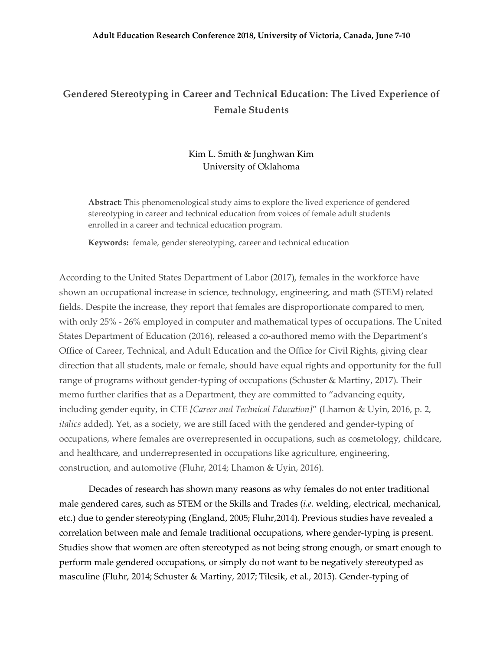## **Gendered Stereotyping in Career and Technical Education: The Lived Experience of Female Students**

### Kim L. Smith & Junghwan Kim University of Oklahoma

**Abstract:** This phenomenological study aims to explore the lived experience of gendered stereotyping in career and technical education from voices of female adult students enrolled in a career and technical education program.

**Keywords:** female, gender stereotyping, career and technical education

According to the United States Department of Labor (2017), females in the workforce have shown an occupational increase in science, technology, engineering, and math (STEM) related fields. Despite the increase, they report that females are disproportionate compared to men, with only 25% - 26% employed in computer and mathematical types of occupations. The United States Department of Education (2016), released a co-authored memo with the Department's Office of Career, Technical, and Adult Education and the Office for Civil Rights, giving clear direction that all students, male or female, should have equal rights and opportunity for the full range of programs without gender-typing of occupations (Schuster & Martiny, 2017). Their memo further clarifies that as a Department, they are committed to "advancing equity, including gender equity, in CTE *[Career and Technical Education]*" (Lhamon & Uyin, 2016, p. 2, *italics* added). Yet, as a society, we are still faced with the gendered and gender-typing of occupations, where females are overrepresented in occupations, such as cosmetology, childcare, and healthcare, and underrepresented in occupations like agriculture, engineering, construction, and automotive (Fluhr, 2014; Lhamon & Uyin, 2016).

Decades of research has shown many reasons as why females do not enter traditional male gendered cares, such as STEM or the Skills and Trades (*i.e.* welding, electrical, mechanical, etc.) due to gender stereotyping (England, 2005; Fluhr,2014). Previous studies have revealed a correlation between male and female traditional occupations, where gender-typing is present. Studies show that women are often stereotyped as not being strong enough, or smart enough to perform male gendered occupations, or simply do not want to be negatively stereotyped as masculine (Fluhr, 2014; Schuster & Martiny, 2017; Tilcsik, et al., 2015). Gender-typing of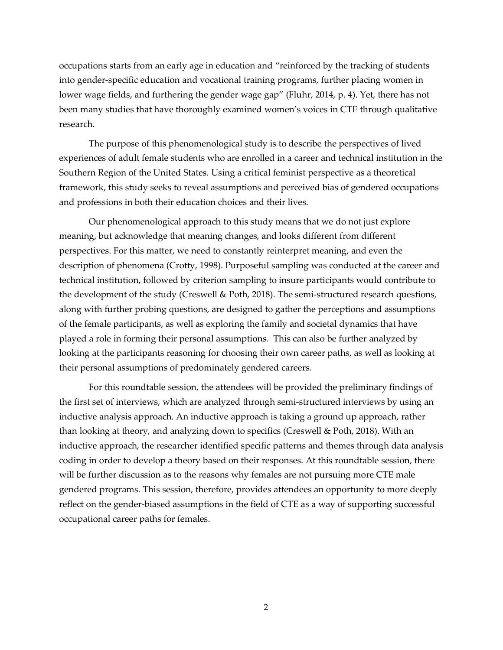occupations starts from an early age in education and "reinforced by the tracking of students into gender-specific education and vocational training programs, further placing women in lower wage fields, and furthering the gender wage gap" (Fluhr, 2014, p. 4). Yet, there has not been many studies that have thoroughly examined women's voices in CTE through qualitative research.

The purpose of this phenomenological study is to describe the perspectives of lived experiences of adult female students who are enrolled in a career and technical institution in the Southern Region of the United States. Using a critical feminist perspective as a theoretical framework, this study seeks to reveal assumptions and perceived bias of gendered occupations and professions in both their education choices and their lives.

Our phenomenological approach to this study means that we do not just explore meaning, but acknowledge that meaning changes, and looks different from different perspectives. For this matter, we need to constantly reinterpret meaning, and even the description of phenomena (Crotty, 1998). Purposeful sampling was conducted at the career and technical institution, followed by criterion sampling to insure participants would contribute to the development of the study (Creswell & Poth, 2018). The semi-structured research questions, along with further probing questions, are designed to gather the perceptions and assumptions of the female participants, as well as exploring the family and societal dynamics that have played a role in forming their personal assumptions. This can also be further analyzed by looking at the participants reasoning for choosing their own career paths, as well as looking at their personal assumptions of predominately gendered careers.

For this roundtable session, the attendees will be provided the preliminary findings of the first set of interviews, which are analyzed through semi-structured interviews by using an inductive analysis approach. An inductive approach is taking a ground up approach, rather than looking at theory, and analyzing down to specifics (Creswell & Poth, 2018). With an inductive approach, the researcher identified specific patterns and themes through data analysis coding in order to develop a theory based on their responses. At this roundtable session, there will be further discussion as to the reasons why females are not pursuing more CTE male gendered programs. This session, therefore, provides attendees an opportunity to more deeply reflect on the gender-biased assumptions in the field of CTE as a way of supporting successful occupational career paths for females.